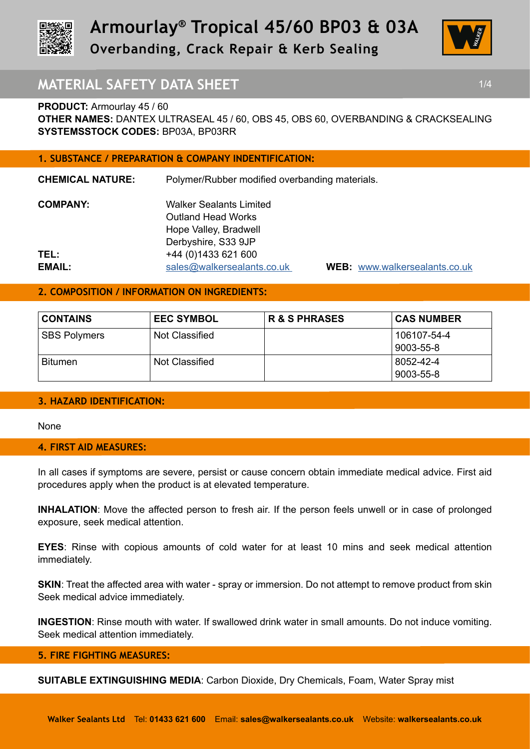



# **MATERIAL SAFETY DATA SHEET 1/4 1/4**

**PRODUCT:** Armourlay 45 / 60

**OTHER NAMES:** DANTEX ULTRASEAL 45 / 60, OBS 45, OBS 60, OVERBANDING & CRACKSEALING **SYSTEMSSTOCK CODES:** BP03A, BP03RR

## **1. SUBSTANCE / PREPARATION & COMPANY INDENTIFICATION:**

| <b>CHEMICAL NATURE:</b> | Polymer/Rubber modified overbanding materials. |                |  |
|-------------------------|------------------------------------------------|----------------|--|
| <b>COMPANY:</b>         | <b>Walker Sealants Limited</b>                 |                |  |
|                         | <b>Outland Head Works</b>                      |                |  |
|                         | Hope Valley, Bradwell                          |                |  |
|                         | Derbyshire, S33 9JP                            |                |  |
| TEL:                    | +44 (0) 1433 621 600                           |                |  |
| <b>EMAIL:</b>           | sales@walkersealants.co.uk                     | <b>WEB</b> www |  |

**B: www.walkersealants.co.uk** 

# **2. COMPOSITION / INFORMATION ON INGREDIENTS:**

| <b>CONTAINS</b>     | <b>EEC SYMBOL</b>     | <b>R &amp; S PHRASES</b> | <b>CAS NUMBER</b> |
|---------------------|-----------------------|--------------------------|-------------------|
| <b>SBS Polymers</b> | <b>Not Classified</b> |                          | 106107-54-4       |
|                     |                       |                          | 9003-55-8         |
| <b>Bitumen</b>      | <b>Not Classified</b> |                          | 8052-42-4         |
|                     |                       |                          | 9003-55-8         |

## **3. HAZARD IDENTIFICATION:**

None

## **4. FIRST AID MEASURES:**

In all cases if symptoms are severe, persist or cause concern obtain immediate medical advice. First aid procedures apply when the product is at elevated temperature.

**INHALATION**: Move the affected person to fresh air. If the person feels unwell or in case of prolonged exposure, seek medical attention.

**EYES**: Rinse with copious amounts of cold water for at least 10 mins and seek medical attention immediately.

**SKIN:** Treat the affected area with water - spray or immersion. Do not attempt to remove product from skin Seek medical advice immediately.

**INGESTION**: Rinse mouth with water. If swallowed drink water in small amounts. Do not induce vomiting. Seek medical attention immediately.

## **5. FIRE FIGHTING MEASURES:**

**SUITABLE EXTINGUISHING MEDIA**: Carbon Dioxide, Dry Chemicals, Foam, Water Spray mist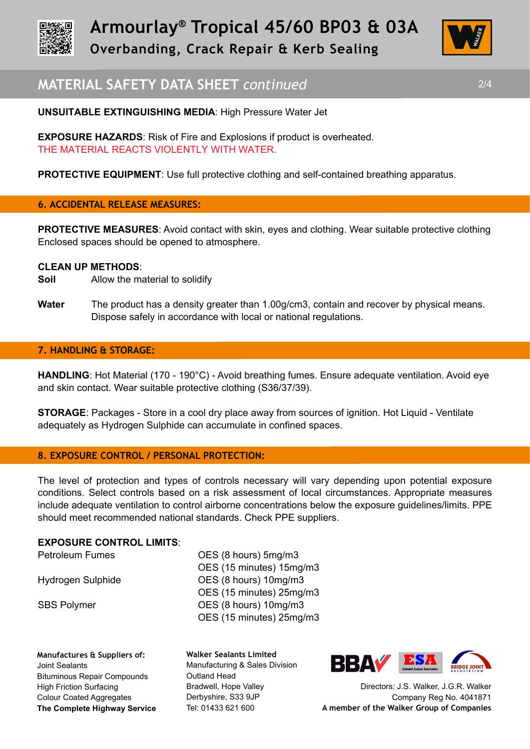



# **MATERIAL SAFETY DATA SHEET** *continued* 2/4

**EXPOSURE HAZARDS**: Risk of Fire and Explosions if product is overheated. THE MATERIAL REACTS VIOLENTLY WITH WATER.

**PROTECTIVE EQUIPMENT:** Use full protective clothing and self-contained breathing apparatus.

## **6. ACCIDENTAL RELEASE MEASURES:**

**PROTECTIVE MEASURES:** Avoid contact with skin, eyes and clothing. Wear suitable protective clothing Enclosed spaces should be opened to atmosphere.

### **CLEAN UP METHODS**:

- **Soil** Allow the material to solidify
- **Water** The product has a density greater than 1.00g/cm3, contain and recover by physical means. Dispose safely in accordance with local or national regulations.

## **7. HANDLING & STORAGE:**

**HANDLING**: Hot Material (170 - 190°C) - Avoid breathing fumes. Ensure adequate ventilation. Avoid eye and skin contact. Wear suitable protective clothing (S36/37/39).

**STORAGE**: Packages - Store in a cool dry place away from sources of ignition. Hot Liquid - Ventilate adequately as Hydrogen Sulphide can accumulate in confined spaces.

## **8. EXPOSURE CONTROL / PERSONAL PROTECTION:**

The level of protection and types of controls necessary will vary depending upon potential exposure conditions. Select controls based on a risk assessment of local circumstances. Appropriate measures include adequate ventilation to control airborne concentrations below the exposure guidelines/limits. PPE should meet recommended national standards. Check PPE suppliers.

#### **EXPOSURE CONTROL LIMITS**:

Petroleum Fumes OES (8 hours) 5mg/m3 OES (15 minutes) 15mg/m3 Hydrogen Sulphide OES (8 hours) 10mg/m3 OES (15 minutes) 25mg/m3 SBS Polymer **OES** (8 hours) 10mg/m3 OES (15 minutes) 25mg/m3

**Manufactures & Suppliers of:**  Joint Sealants Bituminous Repair Compounds High Friction Surfacing Colour Coated Aggregates **The Complete Highway Service** **Walker Sealants Limited**  Manufacturing & Sales Division Outland Head Bradwell, Hope Valley Derbyshire, S33 9JP Tel: 01433 621 600



Directors: J.S. Walker, J.G.R. Walker Company Reg No. 4041871 **A member of the Walker Group of Companies**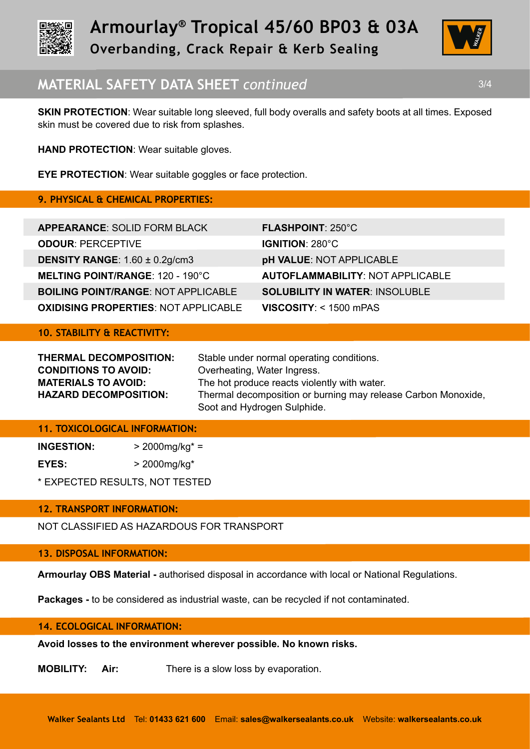



# **MATERIAL SAFETY DATA SHEET** *continued* 3/4

**SKIN PROTECTION:** Wear suitable long sleeved, full body overalls and safety boots at all times. Exposed skin must be covered due to risk from splashes.

**HAND PROTECTION**: Wear suitable gloves.

**EYE PROTECTION**: Wear suitable goggles or face protection.

# **9. PHYSICAL & CHEMICAL PROPERTIES:**

| <b>APPEARANCE: SOLID FORM BLACK</b>         | <b>FLASHPOINT: 250°C</b>                |
|---------------------------------------------|-----------------------------------------|
| <b>ODOUR: PERCEPTIVE</b>                    | <b>IGNITION: 280°C</b>                  |
| <b>DENSITY RANGE:</b> $1.60 \pm 0.2$ g/cm3  | <b>pH VALUE: NOT APPLICABLE</b>         |
| <b>MELTING POINT/RANGE: 120 - 190°C</b>     | <b>AUTOFLAMMABILITY: NOT APPLICABLE</b> |
| <b>BOILING POINT/RANGE: NOT APPLICABLE</b>  | <b>SOLUBILITY IN WATER: INSOLUBLE</b>   |
| <b>OXIDISING PROPERTIES: NOT APPLICABLE</b> | VISCOSITY: < 1500 mPAS                  |

**10. STABILITY & REACTIVITY:**

| <b>THERMAL DECOMPOSITION:</b> | Stable under normal operating conditions.                                                    |
|-------------------------------|----------------------------------------------------------------------------------------------|
| <b>CONDITIONS TO AVOID:</b>   | Overheating, Water Ingress.                                                                  |
| <b>MATERIALS TO AVOID:</b>    | The hot produce reacts violently with water.                                                 |
| <b>HAZARD DECOMPOSITION:</b>  | Thermal decomposition or burning may release Carbon Monoxide,<br>Soot and Hydrogen Sulphide. |

## **11. TOXICOLOGICAL INFORMATION:**

**INGESTION:** > 2000mg/kg\* =

**EYES:** > 2000mg/kg\*

\* EXPECTED RESULTS, NOT TESTED

## **12. TRANSPORT INFORMATION:**

NOT CLASSIFIED AS HAZARDOUS FOR TRANSPORT

## **13. DISPOSAL INFORMATION:**

**Armourlay OBS Material -** authorised disposal in accordance with local or National Regulations.

**Packages -** to be considered as industrial waste, can be recycled if not contaminated.

### **14. ECOLOGICAL INFORMATION:**

**Avoid losses to the environment wherever possible. No known risks.**

**MOBILITY: Air:** There is a slow loss by evaporation.